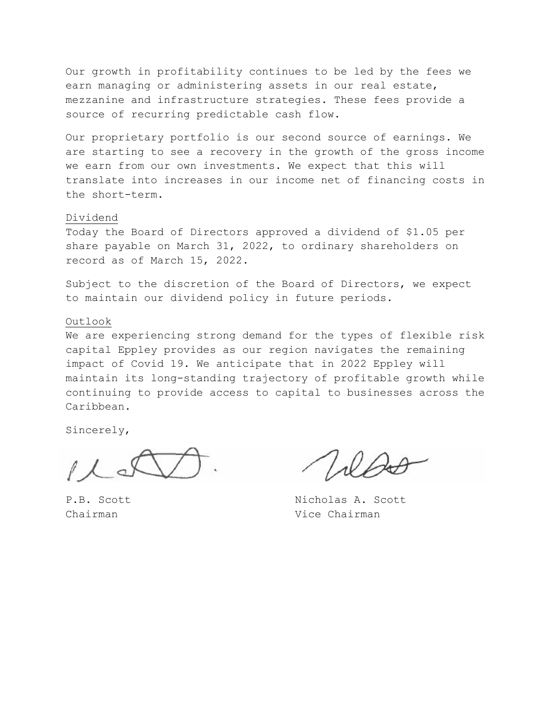Our growth in profitability continues to be led by the fees we earn managing or administering assets in our real estate, mezzanine and infrastructure strategies. These fees provide a source of recurring predictable cash flow.

Our proprietary portfolio is our second source of earnings. We are starting to see a recovery in the growth of the gross income we earn from our own investments. We expect that this will translate into increases in our income net of financing costs in the short-term.

#### Dividend

Today the Board of Directors approved a dividend of \$1.05 per share payable on March 31, 2022, to ordinary shareholders on record as of March 15, 2022.

Subject to the discretion of the Board of Directors, we expect to maintain our dividend policy in future periods.

#### Outlook

We are experiencing strong demand for the types of flexible risk capital Eppley provides as our region navigates the remaining impact of Covid 19. We anticipate that in 2022 Eppley will maintain its long-standing trajectory of profitable growth while continuing to provide access to capital to businesses across the Caribbean.

Sincerely,

P.B. Scott Nicholas A. Scott Chairman Vice Chairman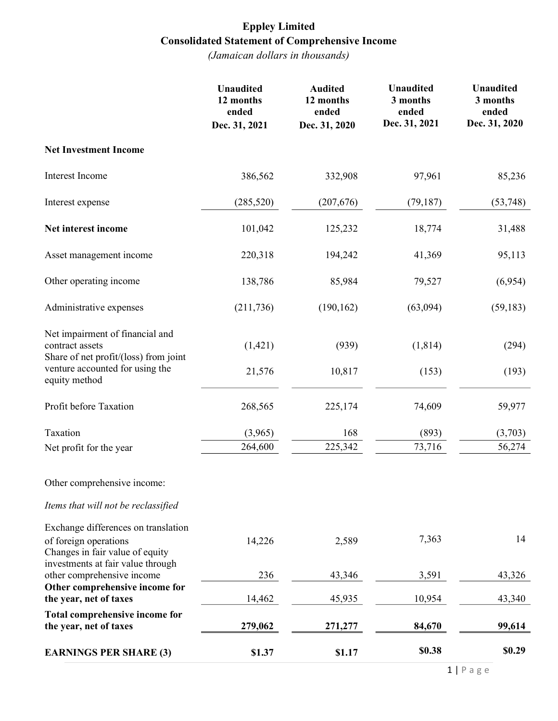# Eppley Limited Consolidated Statement of Comprehensive Income

|                                                                                                                                      | <b>Unaudited</b><br>12 months<br>ended<br>Dec. 31, 2021 | <b>Audited</b><br>12 months<br>ended<br>Dec. 31, 2020 | <b>Unaudited</b><br>3 months<br>ended<br>Dec. 31, 2021 | <b>Unaudited</b><br>3 months<br>ended<br>Dec. 31, 2020 |
|--------------------------------------------------------------------------------------------------------------------------------------|---------------------------------------------------------|-------------------------------------------------------|--------------------------------------------------------|--------------------------------------------------------|
| <b>Net Investment Income</b>                                                                                                         |                                                         |                                                       |                                                        |                                                        |
| Interest Income                                                                                                                      | 386,562                                                 | 332,908                                               | 97,961                                                 | 85,236                                                 |
| Interest expense                                                                                                                     | (285, 520)                                              | (207, 676)                                            | (79, 187)                                              | (53,748)                                               |
| Net interest income                                                                                                                  | 101,042                                                 | 125,232                                               | 18,774                                                 | 31,488                                                 |
| Asset management income                                                                                                              | 220,318                                                 | 194,242                                               | 41,369                                                 | 95,113                                                 |
| Other operating income                                                                                                               | 138,786                                                 | 85,984                                                | 79,527                                                 | (6,954)                                                |
| Administrative expenses                                                                                                              | (211, 736)                                              | (190, 162)                                            | (63,094)                                               | (59, 183)                                              |
| Net impairment of financial and<br>contract assets<br>Share of net profit/(loss) from joint                                          | (1,421)                                                 | (939)                                                 | (1, 814)                                               | (294)                                                  |
| venture accounted for using the<br>equity method                                                                                     | 21,576                                                  | 10,817                                                | (153)                                                  | (193)                                                  |
| Profit before Taxation                                                                                                               | 268,565                                                 | 225,174                                               | 74,609                                                 | 59,977                                                 |
| Taxation                                                                                                                             | (3,965)                                                 | 168                                                   | (893)                                                  | (3,703)                                                |
| Net profit for the year                                                                                                              | 264,600                                                 | 225,342                                               | 73,716                                                 | 56,274                                                 |
| Other comprehensive income:                                                                                                          |                                                         |                                                       |                                                        |                                                        |
| Items that will not be reclassified                                                                                                  |                                                         |                                                       |                                                        |                                                        |
| Exchange differences on translation<br>of foreign operations<br>Changes in fair value of equity<br>investments at fair value through | 14,226                                                  | 2,589                                                 | 7,363                                                  | 14                                                     |
| other comprehensive income                                                                                                           | 236                                                     | 43,346                                                | 3,591                                                  | 43,326                                                 |
| Other comprehensive income for<br>the year, net of taxes                                                                             | 14,462                                                  | 45,935                                                | 10,954                                                 | 43,340                                                 |
| Total comprehensive income for<br>the year, net of taxes                                                                             | 279,062                                                 | 271,277                                               | 84,670                                                 | 99,614                                                 |
| <b>EARNINGS PER SHARE (3)</b>                                                                                                        | \$1.37                                                  | \$1.17                                                | \$0.38                                                 | \$0.29                                                 |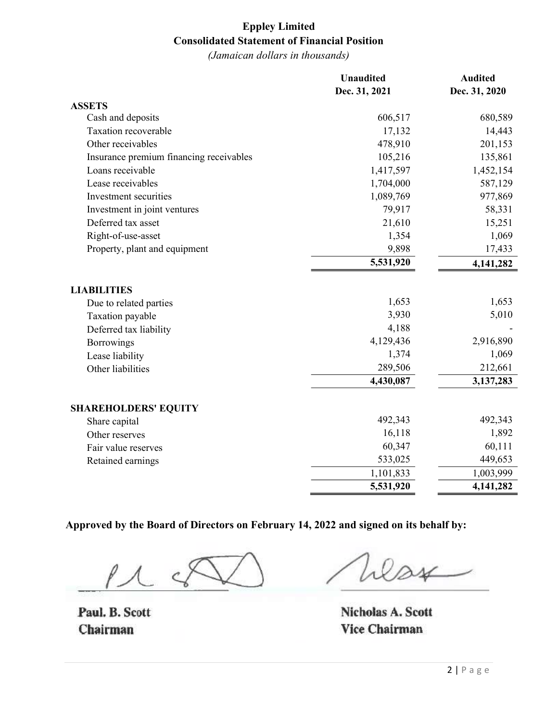# Eppley Limited Consolidated Statement of Financial Position

(Jamaican dollars in thousands)

|                                         | <b>Unaudited</b> | <b>Audited</b> |
|-----------------------------------------|------------------|----------------|
|                                         | Dec. 31, 2021    | Dec. 31, 2020  |
| <b>ASSETS</b>                           |                  |                |
| Cash and deposits                       | 606,517          | 680,589        |
| Taxation recoverable                    | 17,132           | 14,443         |
| Other receivables                       | 478,910          | 201,153        |
| Insurance premium financing receivables | 105,216          | 135,861        |
| Loans receivable                        | 1,417,597        | 1,452,154      |
| Lease receivables                       | 1,704,000        | 587,129        |
| Investment securities                   | 1,089,769        | 977,869        |
| Investment in joint ventures            | 79,917           | 58,331         |
| Deferred tax asset                      | 21,610           | 15,251         |
| Right-of-use-asset                      | 1,354            | 1,069          |
| Property, plant and equipment           | 9,898            | 17,433         |
|                                         | 5,531,920        | 4,141,282      |
| <b>LIABILITIES</b>                      |                  |                |
| Due to related parties                  | 1,653            | 1,653          |
| Taxation payable                        | 3,930            | 5,010          |
| Deferred tax liability                  | 4,188            |                |
| Borrowings                              | 4,129,436        | 2,916,890      |
| Lease liability                         | 1,374            | 1,069          |
| Other liabilities                       | 289,506          | 212,661        |
|                                         | 4,430,087        | 3,137,283      |
| <b>SHAREHOLDERS' EQUITY</b>             |                  |                |
| Share capital                           | 492,343          | 492,343        |
| Other reserves                          | 16,118           | 1,892          |
| Fair value reserves                     | 60,347           | 60,111         |
| Retained earnings                       | 533,025          | 449,653        |
|                                         | 1,101,833        | 1,003,999      |
|                                         | 5,531,920        | 4,141,282      |

Approved by the Board of Directors on February 14, 2022 and signed on its behalf by:

 $\overline{M}$ 

Paul. B. Scott Chairman

 $\sim$ 

Nicholas A. Scott Vice Chairman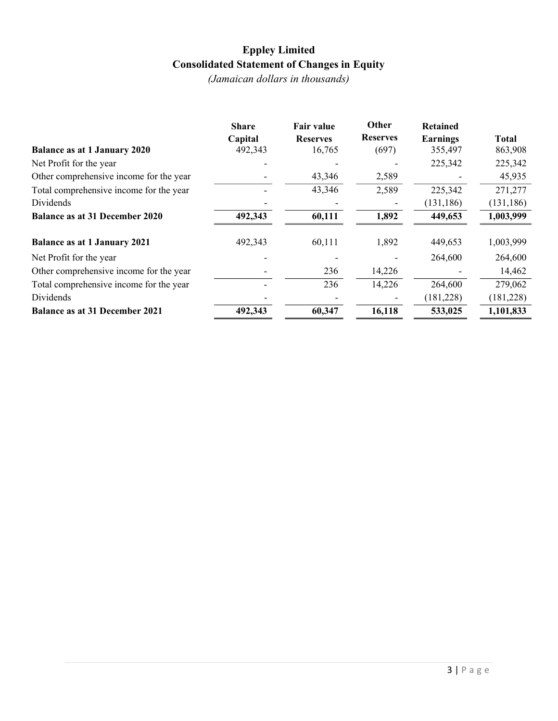# Eppley Limited Consolidated Statement of Changes in Equity

|                                         | <b>Share</b> | <b>Fair value</b> | Other           | <b>Retained</b> |              |
|-----------------------------------------|--------------|-------------------|-----------------|-----------------|--------------|
|                                         | Capital      | <b>Reserves</b>   | <b>Reserves</b> | Earnings        | <b>Total</b> |
| <b>Balance as at 1 January 2020</b>     | 492,343      | 16,765            | (697)           | 355,497         | 863,908      |
| Net Profit for the year                 |              |                   |                 | 225,342         | 225,342      |
| Other comprehensive income for the year |              | 43,346            | 2,589           |                 | 45,935       |
| Total comprehensive income for the year |              | 43,346            | 2,589           | 225,342         | 271,277      |
| Dividends                               |              |                   |                 | (131, 186)      | (131, 186)   |
| <b>Balance as at 31 December 2020</b>   | 492,343      | 60,111            | 1,892           | 449,653         | 1,003,999    |
| <b>Balance as at 1 January 2021</b>     | 492,343      | 60,111            | 1,892           | 449,653         | 1,003,999    |
| Net Profit for the year                 |              |                   |                 | 264,600         | 264,600      |
| Other comprehensive income for the year |              | 236               | 14,226          |                 | 14,462       |
| Total comprehensive income for the year |              | 236               | 14,226          | 264,600         | 279,062      |
| Dividends                               |              |                   |                 | (181, 228)      | (181, 228)   |
| <b>Balance as at 31 December 2021</b>   | 492,343      | 60,347            | 16,118          | 533,025         | 1,101,833    |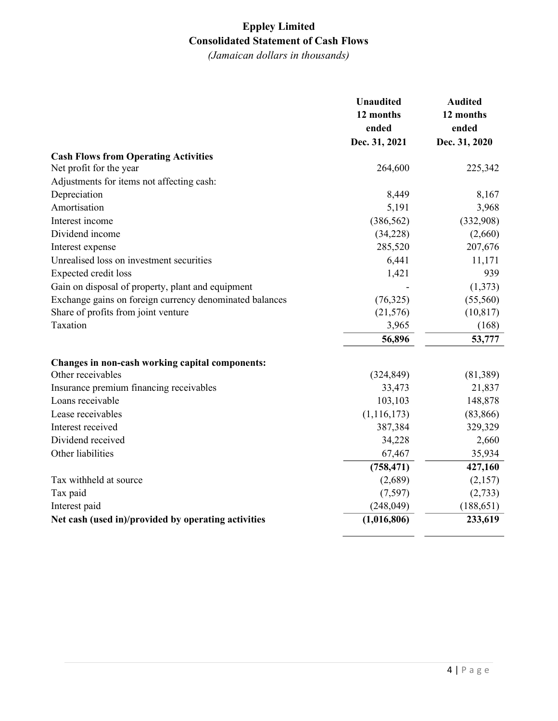## Eppley Limited Consolidated Statement of Cash Flows

|                                                         | <b>Unaudited</b> | <b>Audited</b> |
|---------------------------------------------------------|------------------|----------------|
|                                                         | 12 months        | 12 months      |
|                                                         | ended            | ended          |
|                                                         | Dec. 31, 2021    | Dec. 31, 2020  |
| <b>Cash Flows from Operating Activities</b>             |                  |                |
| Net profit for the year                                 | 264,600          | 225,342        |
| Adjustments for items not affecting cash:               |                  |                |
| Depreciation                                            | 8,449            | 8,167          |
| Amortisation                                            | 5,191            | 3,968          |
| Interest income                                         | (386, 562)       | (332,908)      |
| Dividend income                                         | (34,228)         | (2,660)        |
| Interest expense                                        | 285,520          | 207,676        |
| Unrealised loss on investment securities                | 6,441            | 11,171         |
| Expected credit loss                                    | 1,421            | 939            |
| Gain on disposal of property, plant and equipment       |                  | (1,373)        |
| Exchange gains on foreign currency denominated balances | (76,325)         | (55, 560)      |
| Share of profits from joint venture                     | (21, 576)        | (10, 817)      |
| Taxation                                                | 3,965            | (168)          |
|                                                         | 56,896           | 53,777         |
| Changes in non-cash working capital components:         |                  |                |
| Other receivables                                       | (324, 849)       | (81, 389)      |
| Insurance premium financing receivables                 | 33,473           | 21,837         |
| Loans receivable                                        | 103,103          | 148,878        |
| Lease receivables                                       | (1, 116, 173)    | (83, 866)      |
| Interest received                                       | 387,384          | 329,329        |
| Dividend received                                       | 34,228           | 2,660          |
| Other liabilities                                       | 67,467           | 35,934         |
|                                                         | (758, 471)       | 427,160        |
| Tax withheld at source                                  | (2,689)          | (2,157)        |
| Tax paid                                                | (7, 597)         | (2,733)        |
| Interest paid                                           | (248, 049)       | (188, 651)     |
| Net cash (used in)/provided by operating activities     | (1,016,806)      | 233,619        |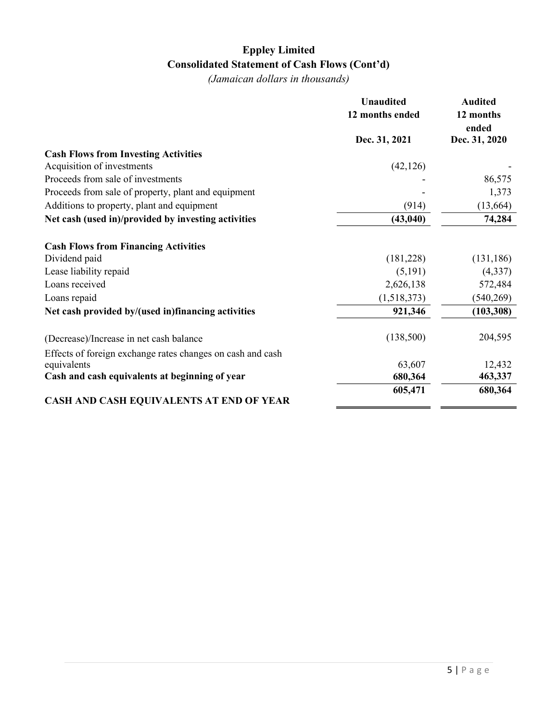# Eppley Limited Consolidated Statement of Cash Flows (Cont'd)

|                                                            | <b>Unaudited</b><br>12 months ended | <b>Audited</b><br>12 months<br>ended |
|------------------------------------------------------------|-------------------------------------|--------------------------------------|
|                                                            | Dec. 31, 2021                       | Dec. 31, 2020                        |
| <b>Cash Flows from Investing Activities</b>                |                                     |                                      |
| Acquisition of investments                                 | (42, 126)                           |                                      |
| Proceeds from sale of investments                          |                                     | 86,575                               |
| Proceeds from sale of property, plant and equipment        |                                     | 1,373                                |
| Additions to property, plant and equipment                 | (914)                               | (13,664)                             |
| Net cash (used in)/provided by investing activities        | (43, 040)                           | 74,284                               |
| <b>Cash Flows from Financing Activities</b>                |                                     |                                      |
| Dividend paid                                              | (181,228)                           | (131, 186)                           |
| Lease liability repaid                                     | (5,191)                             | (4,337)                              |
| Loans received                                             | 2,626,138                           | 572,484                              |
| Loans repaid                                               | (1,518,373)                         | (540, 269)                           |
| Net cash provided by/(used in)financing activities         | 921,346                             | (103, 308)                           |
| (Decrease)/Increase in net cash balance                    | (138,500)                           | 204,595                              |
| Effects of foreign exchange rates changes on cash and cash |                                     |                                      |
| equivalents                                                | 63,607                              | 12,432                               |
| Cash and cash equivalents at beginning of year             | 680,364                             | 463,337                              |
|                                                            | 605,471                             | 680,364                              |
| CASH AND CASH EQUIVALENTS AT END OF YEAR                   |                                     |                                      |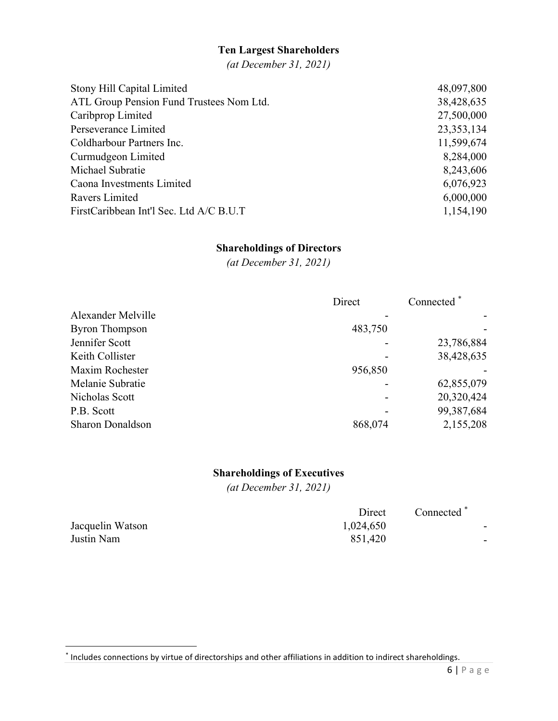#### Ten Largest Shareholders

(at December 31, 2021)

| Stony Hill Capital Limited               | 48,097,800   |
|------------------------------------------|--------------|
| ATL Group Pension Fund Trustees Nom Ltd. | 38,428,635   |
| Caribprop Limited                        | 27,500,000   |
| Perseverance Limited                     | 23, 353, 134 |
| Coldharbour Partners Inc.                | 11,599,674   |
| Curmudgeon Limited                       | 8,284,000    |
| Michael Subratie                         | 8,243,606    |
| Caona Investments Limited                | 6,076,923    |
| Ravers Limited                           | 6,000,000    |
| FirstCaribbean Int'l Sec. Ltd A/C B.U.T  | 1,154,190    |

## Shareholdings of Directors

(at December 31, 2021)

|                         | Direct  | Connected  |
|-------------------------|---------|------------|
| Alexander Melville      |         |            |
| <b>Byron Thompson</b>   | 483,750 |            |
| Jennifer Scott          |         | 23,786,884 |
| Keith Collister         |         | 38,428,635 |
| Maxim Rochester         | 956,850 |            |
| Melanie Subratie        |         | 62,855,079 |
| Nicholas Scott          |         | 20,320,424 |
| P.B. Scott              |         | 99,387,684 |
| <b>Sharon Donaldson</b> | 868,074 | 2,155,208  |

## Shareholdings of Executives

(at December 31, 2021)

|                  | Direct    | Connected <sup>*</sup> |
|------------------|-----------|------------------------|
| Jacquelin Watson | 1,024,650 | $\sim$                 |
| Justin Nam       | 851,420   | $\sim$                 |

<sup>\*</sup> Includes connections by virtue of directorships and other affiliations in addition to indirect shareholdings.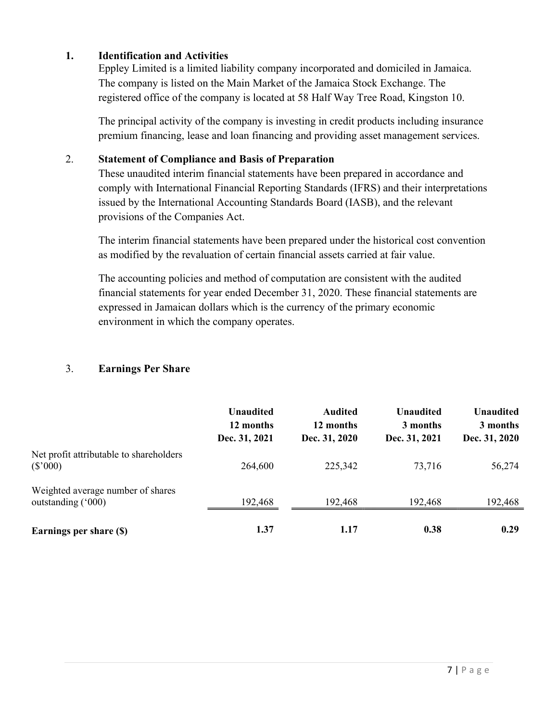### 1. Identification and Activities

Eppley Limited is a limited liability company incorporated and domiciled in Jamaica. The company is listed on the Main Market of the Jamaica Stock Exchange. The registered office of the company is located at 58 Half Way Tree Road, Kingston 10.

The principal activity of the company is investing in credit products including insurance premium financing, lease and loan financing and providing asset management services.

### 2. Statement of Compliance and Basis of Preparation

These unaudited interim financial statements have been prepared in accordance and comply with International Financial Reporting Standards (IFRS) and their interpretations issued by the International Accounting Standards Board (IASB), and the relevant provisions of the Companies Act.

The interim financial statements have been prepared under the historical cost convention as modified by the revaluation of certain financial assets carried at fair value.

The accounting policies and method of computation are consistent with the audited financial statements for year ended December 31, 2020. These financial statements are expressed in Jamaican dollars which is the currency of the primary economic environment in which the company operates.

### 3. Earnings Per Share

|                                                         | <b>Unaudited</b><br>12 months<br>Dec. 31, 2021 | <b>Audited</b><br>12 months<br>Dec. 31, 2020 | <b>Unaudited</b><br>3 months<br>Dec. 31, 2021 | <b>Unaudited</b><br>3 months<br>Dec. 31, 2020 |
|---------------------------------------------------------|------------------------------------------------|----------------------------------------------|-----------------------------------------------|-----------------------------------------------|
| Net profit attributable to shareholders<br>$(\$'000)$   | 264,600                                        | 225,342                                      | 73,716                                        | 56,274                                        |
| Weighted average number of shares<br>outstanding ('000) | 192,468                                        | 192,468                                      | 192,468                                       | 192,468                                       |
| Earnings per share (\$)                                 | 1.37                                           | 1.17                                         | 0.38                                          | 0.29                                          |